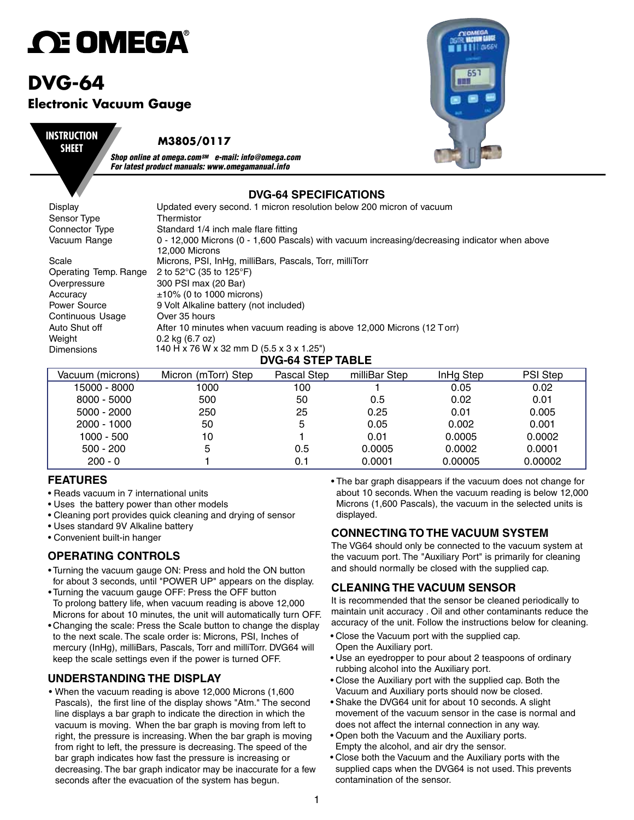# *C***E OMEGA**

# **DVG-64 Electronic Vacuum Gauge**



#### **M3805/0117**

*Shop online at omega.comSM e-mail: info@omega.com For latest product manuals: www.omegamanual.info*

## **DVG-64 SPECIFICATIONS**

| Display                  | Updated every second. 1 micron resolution below 200 micron of vacuum                          |  |  |  |  |  |
|--------------------------|-----------------------------------------------------------------------------------------------|--|--|--|--|--|
| Sensor Type              | Thermistor                                                                                    |  |  |  |  |  |
| Connector Type           | Standard 1/4 inch male flare fitting                                                          |  |  |  |  |  |
| Vacuum Range             | 0 - 12,000 Microns (0 - 1,600 Pascals) with vacuum increasing/decreasing indicator when above |  |  |  |  |  |
|                          | 12,000 Microns                                                                                |  |  |  |  |  |
| Scale                    | Microns, PSI, InHg, milliBars, Pascals, Torr, milliTorr                                       |  |  |  |  |  |
| Operating Temp. Range    | 2 to 52 $\degree$ C (35 to 125 $\degree$ F)                                                   |  |  |  |  |  |
| Overpressure             | 300 PSI max (20 Bar)                                                                          |  |  |  |  |  |
| Accuracy                 | $\pm 10\%$ (0 to 1000 microns)                                                                |  |  |  |  |  |
| <b>Power Source</b>      | 9 Volt Alkaline battery (not included)                                                        |  |  |  |  |  |
| Continuous Usage         | Over 35 hours                                                                                 |  |  |  |  |  |
| Auto Shut off            | After 10 minutes when vacuum reading is above 12,000 Microns (12 Torr)                        |  |  |  |  |  |
| Weight                   | $0.2$ kg $(6.7$ oz)                                                                           |  |  |  |  |  |
| <b>Dimensions</b>        | 140 H x 76 W x 32 mm D (5.5 x 3 x 1.25")                                                      |  |  |  |  |  |
| <b>DVG-64 STEP TABLE</b> |                                                                                               |  |  |  |  |  |

| Vacuum (microns) | Micron (mTorr) Step | Pascal Step | milliBar Step | InHg Step | PSI Step |
|------------------|---------------------|-------------|---------------|-----------|----------|
| 15000 - 8000     | 1000                | 100         |               | 0.05      | 0.02     |
| $8000 - 5000$    | 500                 | 50          | 0.5           | 0.02      | 0.01     |
| $5000 - 2000$    | 250                 | 25          | 0.25          | 0.01      | 0.005    |
| $2000 - 1000$    | 50                  | 5           | 0.05          | 0.002     | 0.001    |
| 1000 - 500       | 10                  |             | 0.01          | 0.0005    | 0.0002   |
| $500 - 200$      | 5                   | 0.5         | 0.0005        | 0.0002    | 0.0001   |
| $200 - 0$        |                     | 0.1         | 0.0001        | 0.00005   | 0.00002  |

#### **FEATURES**

- Reads vacuum in 7 international units
- Uses the battery power than other models
- Cleaning port provides quick cleaning and drying of sensor
- Uses standard 9V Alkaline battery
- Convenient built-in hanger

#### **OPERATING CONTROLS**

- Turning the vacuum gauge ON: Press and hold the ON button for about 3 seconds, until "POWER UP" appears on the display.
- Turning the vacuum gauge OFF: Press the OFF button To prolong battery life, when vacuum reading is above 12,000 Microns for about 10 minutes, the unit will automatically turn OFF.
- Changing the scale: Press the Scale button to change the display to the next scale. The scale order is: Microns, PSI, Inches of mercury (InHg), milliBars, Pascals, Torr and milliTorr. DVG64 will keep the scale settings even if the power is turned OFF.

#### **UNDERSTANDING THE DISPLAY**

• When the vacuum reading is above 12,000 Microns (1,600 Pascals), the first line of the display shows "Atm." The second line displays a bar graph to indicate the direction in which the vacuum is moving. When the bar graph is moving from left to right, the pressure is increasing. When the bar graph is moving from right to left, the pressure is decreasing. The speed of the bar graph indicates how fast the pressure is increasing or decreasing. The bar graph indicator may be inaccurate for a few seconds after the evacuation of the system has begun.

• The bar graph disappears if the vacuum does not change for about 10 seconds. When the vacuum reading is below 12,000 Microns (1,600 Pascals), the vacuum in the selected units is displayed.

#### **CONNECTING TO THE VACUUM SYSTEM**

The VG64 should only be connected to the vacuum system at the vacuum port. The "Auxiliary Port" is primarily for cleaning and should normally be closed with the supplied cap.

#### **CLEANING THE VACUUM SENSOR**

It is recommended that the sensor be cleaned periodically to maintain unit accuracy . Oil and other contaminants reduce the accuracy of the unit. Follow the instructions below for cleaning.

- Close the Vacuum port with the supplied cap. Open the Auxiliary port.
- Use an eyedropper to pour about 2 teaspoons of ordinary rubbing alcohol into the Auxiliary port.
- Close the Auxiliary port with the supplied cap. Both the Vacuum and Auxiliary ports should now be closed.
- Shake the DVG64 unit for about 10 seconds. A slight movement of the vacuum sensor in the case is normal and does not affect the internal connection in any way.
- Open both the Vacuum and the Auxiliary ports. Empty the alcohol, and air dry the sensor.
- Close both the Vacuum and the Auxiliary ports with the supplied caps when the DVG64 is not used. This prevents contamination of the sensor.